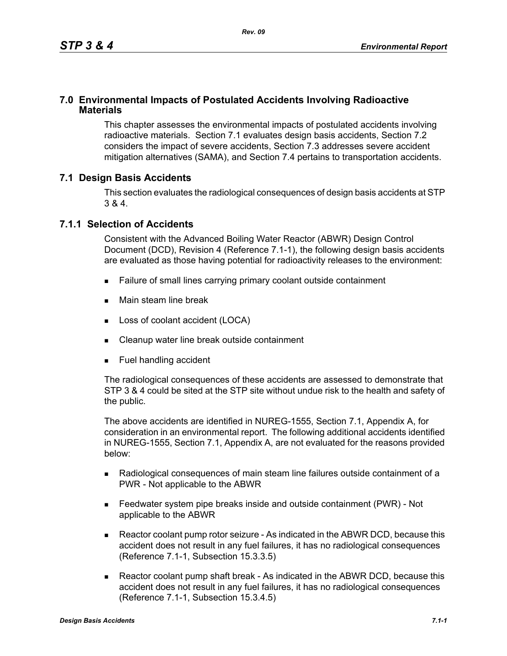### **7.0 Environmental Impacts of Postulated Accidents Involving Radioactive Materials**

This chapter assesses the environmental impacts of postulated accidents involving radioactive materials. Section 7.1 evaluates design basis accidents, Section 7.2 considers the impact of severe accidents, Section 7.3 addresses severe accident mitigation alternatives (SAMA), and Section 7.4 pertains to transportation accidents.

### **7.1 Design Basis Accidents**

This section evaluates the radiological consequences of design basis accidents at STP 3 & 4.

#### **7.1.1 Selection of Accidents**

Consistent with the Advanced Boiling Water Reactor (ABWR) Design Control Document (DCD), Revision 4 (Reference 7.1-1), the following design basis accidents are evaluated as those having potential for radioactivity releases to the environment:

- Failure of small lines carrying primary coolant outside containment
- **Main steam line break**
- **Loss of coolant accident (LOCA)**
- Cleanup water line break outside containment
- **Fuel handling accident**

The radiological consequences of these accidents are assessed to demonstrate that STP 3 & 4 could be sited at the STP site without undue risk to the health and safety of the public.

The above accidents are identified in NUREG-1555, Section 7.1, Appendix A, for consideration in an environmental report. The following additional accidents identified in NUREG-1555, Section 7.1, Appendix A, are not evaluated for the reasons provided below:

- Radiological consequences of main steam line failures outside containment of a PWR - Not applicable to the ABWR
- Feedwater system pipe breaks inside and outside containment (PWR) Not applicable to the ABWR
- Reactor coolant pump rotor seizure As indicated in the ABWR DCD, because this accident does not result in any fuel failures, it has no radiological consequences (Reference 7.1-1, Subsection 15.3.3.5)
- Reactor coolant pump shaft break As indicated in the ABWR DCD, because this accident does not result in any fuel failures, it has no radiological consequences (Reference 7.1-1, Subsection 15.3.4.5)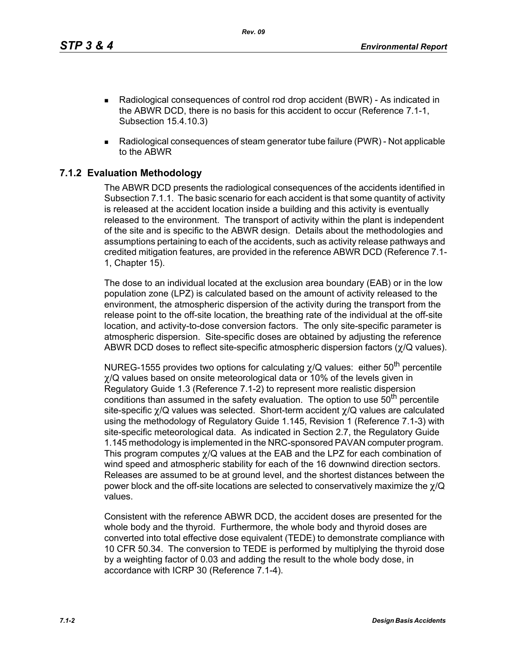*Rev. 09*

- Radiological consequences of control rod drop accident (BWR) As indicated in the ABWR DCD, there is no basis for this accident to occur (Reference 7.1-1, Subsection 15.4.10.3)
- Radiological consequences of steam generator tube failure (PWR) Not applicable to the ABWR

# **7.1.2 Evaluation Methodology**

The ABWR DCD presents the radiological consequences of the accidents identified in Subsection 7.1.1. The basic scenario for each accident is that some quantity of activity is released at the accident location inside a building and this activity is eventually released to the environment. The transport of activity within the plant is independent of the site and is specific to the ABWR design. Details about the methodologies and assumptions pertaining to each of the accidents, such as activity release pathways and credited mitigation features, are provided in the reference ABWR DCD (Reference 7.1- 1, Chapter 15).

The dose to an individual located at the exclusion area boundary (EAB) or in the low population zone (LPZ) is calculated based on the amount of activity released to the environment, the atmospheric dispersion of the activity during the transport from the release point to the off-site location, the breathing rate of the individual at the off-site location, and activity-to-dose conversion factors. The only site-specific parameter is atmospheric dispersion. Site-specific doses are obtained by adjusting the reference ABWR DCD doses to reflect site-specific atmospheric dispersion factors (χ/Q values).

NUREG-1555 provides two options for calculating  $\chi$ /Q values: either 50<sup>th</sup> percentile χ/Q values based on onsite meteorological data or 10% of the levels given in Regulatory Guide 1.3 (Reference 7.1-2) to represent more realistic dispersion conditions than assumed in the safety evaluation. The option to use  $50<sup>th</sup>$  percentile site-specific χ/Q values was selected. Short-term accident χ/Q values are calculated using the methodology of Regulatory Guide 1.145, Revision 1 (Reference 7.1-3) with site-specific meteorological data. As indicated in Section 2.7, the Regulatory Guide 1.145 methodology is implemented in the NRC-sponsored PAVAN computer program. This program computes χ/Q values at the EAB and the LPZ for each combination of wind speed and atmospheric stability for each of the 16 downwind direction sectors. Releases are assumed to be at ground level, and the shortest distances between the power block and the off-site locations are selected to conservatively maximize the  $\chi$ /Q values.

Consistent with the reference ABWR DCD, the accident doses are presented for the whole body and the thyroid. Furthermore, the whole body and thyroid doses are converted into total effective dose equivalent (TEDE) to demonstrate compliance with 10 CFR 50.34. The conversion to TEDE is performed by multiplying the thyroid dose by a weighting factor of 0.03 and adding the result to the whole body dose, in accordance with ICRP 30 (Reference 7.1-4).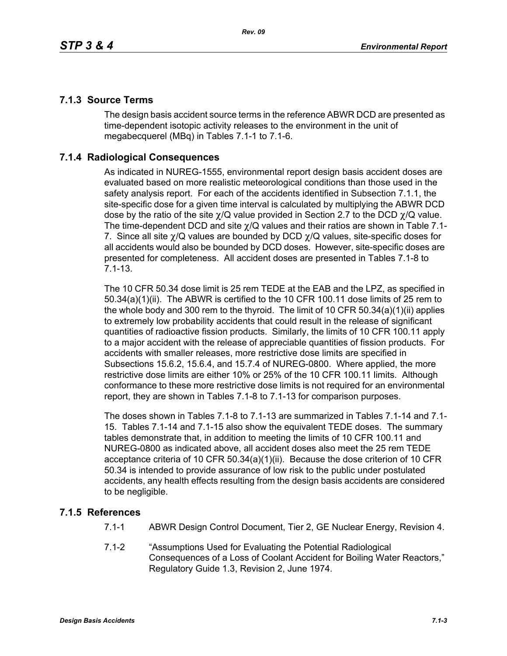## **7.1.3 Source Terms**

The design basis accident source terms in the reference ABWR DCD are presented as time-dependent isotopic activity releases to the environment in the unit of megabecquerel (MBq) in Tables 7.1-1 to 7.1-6.

## **7.1.4 Radiological Consequences**

As indicated in NUREG-1555, environmental report design basis accident doses are evaluated based on more realistic meteorological conditions than those used in the safety analysis report. For each of the accidents identified in Subsection 7.1.1, the site-specific dose for a given time interval is calculated by multiplying the ABWR DCD dose by the ratio of the site  $\chi$ /Q value provided in Section 2.7 to the DCD  $\chi$ /Q value. The time-dependent DCD and site  $\gamma$ /Q values and their ratios are shown in Table 7.1-7. Since all site  $\chi$ /Q values are bounded by DCD  $\chi$ /Q values, site-specific doses for all accidents would also be bounded by DCD doses. However, site-specific doses are presented for completeness. All accident doses are presented in Tables 7.1-8 to 7.1-13.

The 10 CFR 50.34 dose limit is 25 rem TEDE at the EAB and the LPZ, as specified in 50.34(a)(1)(ii). The ABWR is certified to the 10 CFR 100.11 dose limits of 25 rem to the whole body and 300 rem to the thyroid. The limit of 10 CFR 50.34(a)(1)(ii) applies to extremely low probability accidents that could result in the release of significant quantities of radioactive fission products. Similarly, the limits of 10 CFR 100.11 apply to a major accident with the release of appreciable quantities of fission products. For accidents with smaller releases, more restrictive dose limits are specified in Subsections 15.6.2, 15.6.4, and 15.7.4 of NUREG-0800. Where applied, the more restrictive dose limits are either 10% or 25% of the 10 CFR 100.11 limits. Although conformance to these more restrictive dose limits is not required for an environmental report, they are shown in Tables 7.1-8 to 7.1-13 for comparison purposes.

The doses shown in Tables 7.1-8 to 7.1-13 are summarized in Tables 7.1-14 and 7.1- 15. Tables 7.1-14 and 7.1-15 also show the equivalent TEDE doses. The summary tables demonstrate that, in addition to meeting the limits of 10 CFR 100.11 and NUREG-0800 as indicated above, all accident doses also meet the 25 rem TEDE acceptance criteria of 10 CFR 50.34(a)(1)(ii). Because the dose criterion of 10 CFR 50.34 is intended to provide assurance of low risk to the public under postulated accidents, any health effects resulting from the design basis accidents are considered to be negligible.

## **7.1.5 References**

- 7.1-1 ABWR Design Control Document, Tier 2, GE Nuclear Energy, Revision 4.
- 7.1-2 "Assumptions Used for Evaluating the Potential Radiological Consequences of a Loss of Coolant Accident for Boiling Water Reactors," Regulatory Guide 1.3, Revision 2, June 1974.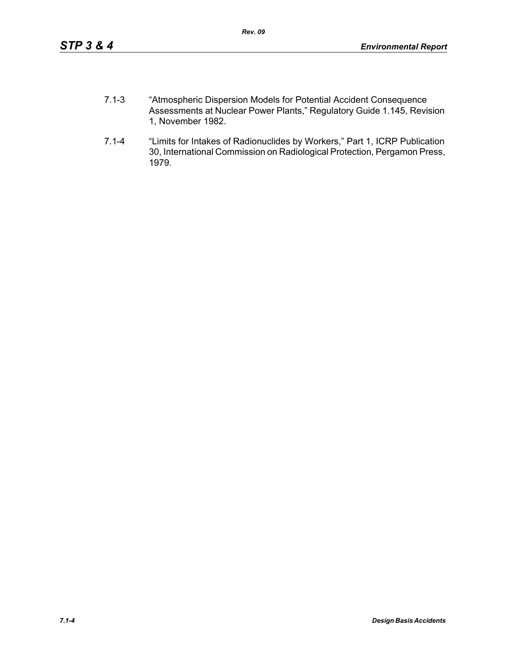- 7.1-3 "Atmospheric Dispersion Models for Potential Accident Consequence Assessments at Nuclear Power Plants," Regulatory Guide 1.145, Revision 1, November 1982.
- 7.1-4 "Limits for Intakes of Radionuclides by Workers," Part 1, ICRP Publication 30, International Commission on Radiological Protection, Pergamon Press, 1979.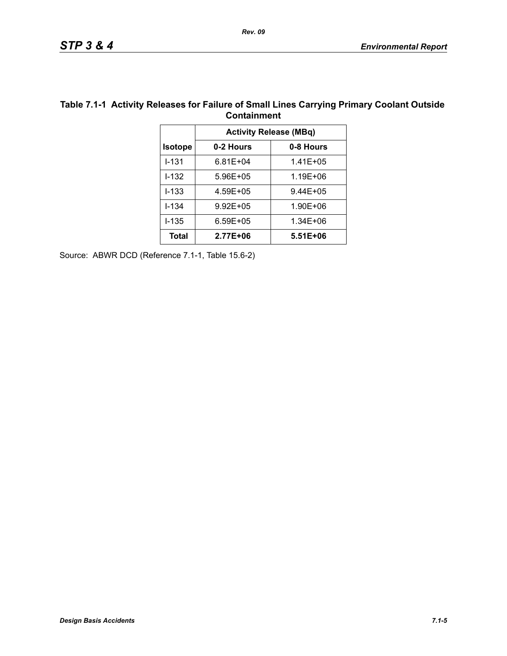|                | Containment                   |              |  |  |  |
|----------------|-------------------------------|--------------|--|--|--|
|                | <b>Activity Release (MBq)</b> |              |  |  |  |
| <b>Isotope</b> | 0-2 Hours                     | 0-8 Hours    |  |  |  |
| $1 - 131$      | $6.81E + 04$                  | $1.41E + 05$ |  |  |  |
| $1 - 132$      | 5.96E+05                      | 1.19E+06     |  |  |  |
| $I - 133$      | 4.59E+05                      | 9.44E+05     |  |  |  |
| $1 - 134$      | $9.92E + 05$                  | 1.90E+06     |  |  |  |
| $1 - 135$      | $6.59E + 05$                  | 1.34E+06     |  |  |  |
| <b>Total</b>   | 2.77E+06                      | 5.51E+06     |  |  |  |

#### **Table 7.1-1 Activity Releases for Failure of Small Lines Carrying Primary Coolant Outside Containment**

Source: ABWR DCD (Reference 7.1-1, Table 15.6-2)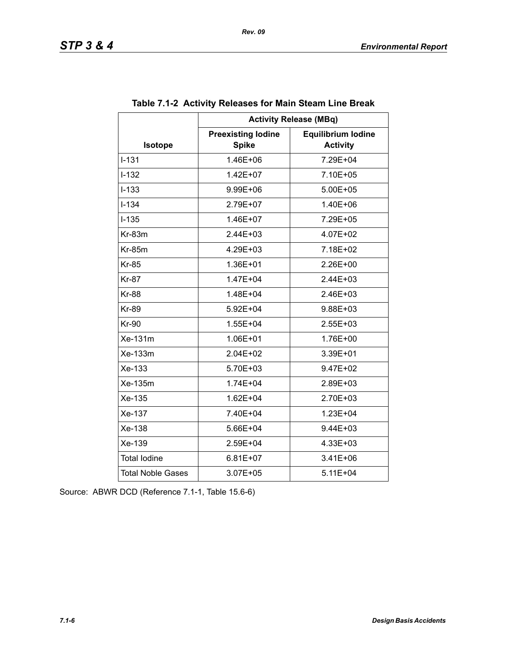|                          | <b>Activity Release (MBq)</b>             |                                              |  |  |  |
|--------------------------|-------------------------------------------|----------------------------------------------|--|--|--|
| <b>Isotope</b>           | <b>Preexisting lodine</b><br><b>Spike</b> | <b>Equilibrium lodine</b><br><b>Activity</b> |  |  |  |
| $I - 131$                | 1.46E+06                                  | 7.29E+04                                     |  |  |  |
| $I - 132$                | $1.42E + 07$                              | 7.10E+05                                     |  |  |  |
| $I - 133$                | 9.99E+06                                  | 5.00E+05                                     |  |  |  |
| $I - 134$                | 2.79E+07                                  | 1.40E+06                                     |  |  |  |
| $I-135$                  | 1.46E+07                                  | 7.29E+05                                     |  |  |  |
| $Kr-83m$                 | $2.44E + 03$                              | 4.07E+02                                     |  |  |  |
| $Kr-85m$                 | 4.29E+03                                  | 7.18E+02                                     |  |  |  |
| <b>Kr-85</b>             | 1.36E+01                                  | 2.26E+00                                     |  |  |  |
| <b>Kr-87</b>             | 1.47E+04                                  | 2.44E+03                                     |  |  |  |
| <b>Kr-88</b>             | 1.48E+04                                  | $2.46E + 03$                                 |  |  |  |
| <b>Kr-89</b>             | 5.92E+04                                  | 9.88E+03                                     |  |  |  |
| <b>Kr-90</b>             | 1.55E+04                                  | $2.55E + 03$                                 |  |  |  |
| Xe-131m                  | 1.06E+01                                  | 1.76E+00                                     |  |  |  |
| Xe-133m                  | $2.04E + 02$                              | $3.39E + 01$                                 |  |  |  |
| Xe-133                   | 5.70E+03                                  | 9.47E+02                                     |  |  |  |
| Xe-135m                  | $1.74E + 04$                              | 2.89E+03                                     |  |  |  |
| Xe-135                   | $1.62E + 04$                              | 2.70E+03                                     |  |  |  |
| Xe-137                   | 7.40E+04                                  | 1.23E+04                                     |  |  |  |
| Xe-138                   | 5.66E+04                                  | 9.44E+03                                     |  |  |  |
| Xe-139                   | 2.59E+04                                  | 4.33E+03                                     |  |  |  |
| <b>Total lodine</b>      | $6.81E + 07$                              | $3.41E + 06$                                 |  |  |  |
| <b>Total Noble Gases</b> | 3.07E+05                                  | $5.11E + 04$                                 |  |  |  |

## **Table 7.1-2 Activity Releases for Main Steam Line Break**

Source: ABWR DCD (Reference 7.1-1, Table 15.6-6)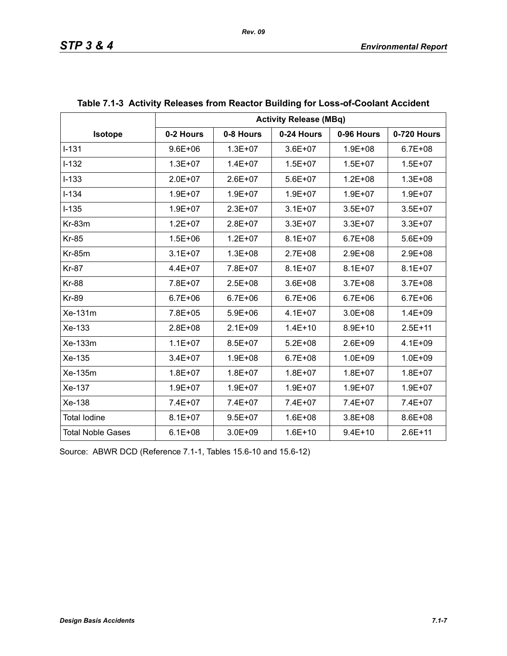|                          | <b>Activity Release (MBq)</b> |             |             |             |             |  |
|--------------------------|-------------------------------|-------------|-------------|-------------|-------------|--|
| Isotope                  | 0-2 Hours                     | 0-8 Hours   | 0-24 Hours  | 0-96 Hours  | 0-720 Hours |  |
| $I-131$                  | $9.6E + 06$                   | $1.3E + 07$ | $3.6E + 07$ | $1.9E + 08$ | $6.7E + 08$ |  |
| $I-132$                  | $1.3E + 07$                   | $1.4E + 07$ | $1.5E + 07$ | $1.5E + 07$ | $1.5E + 07$ |  |
| $I-133$                  | $2.0E + 07$                   | $2.6E + 07$ | $5.6E + 07$ | $1.2E + 08$ | $1.3E + 08$ |  |
| $I - 134$                | $1.9E + 07$                   | $1.9E + 07$ | $1.9E + 07$ | $1.9E + 07$ | $1.9E + 07$ |  |
| $I-135$                  | $1.9E + 07$                   | $2.3E + 07$ | $3.1E + 07$ | $3.5E + 07$ | $3.5E + 07$ |  |
| Kr-83m                   | $1.2E + 07$                   | $2.8E + 07$ | $3.3E + 07$ | $3.3E + 07$ | 3.3E+07     |  |
| <b>Kr-85</b>             | $1.5E + 06$                   | $1.2E + 07$ | $8.1E + 07$ | $6.7E + 08$ | 5.6E+09     |  |
| <b>Kr-85m</b>            | $3.1E + 07$                   | $1.3E + 08$ | $2.7E + 08$ | $2.9E + 08$ | 2.9E+08     |  |
| <b>Kr-87</b>             | 4.4E+07                       | 7.8E+07     | $8.1E + 07$ | $8.1E + 07$ | $8.1E + 07$ |  |
| <b>Kr-88</b>             | 7.8E+07                       | $2.5E + 08$ | $3.6E + 08$ | $3.7E + 08$ | $3.7E + 08$ |  |
| <b>Kr-89</b>             | $6.7E + 06$                   | $6.7E + 06$ | $6.7E + 06$ | $6.7E + 06$ | $6.7E + 06$ |  |
| Xe-131m                  | 7.8E+05                       | $5.9E + 06$ | $4.1E + 07$ | $3.0E + 08$ | $1.4E + 09$ |  |
| Xe-133                   | $2.8E + 08$                   | $2.1E + 09$ | $1.4E + 10$ | $8.9E + 10$ | $2.5E + 11$ |  |
| Xe-133m                  | $1.1E + 07$                   | $8.5E + 07$ | $5.2E + 08$ | $2.6E + 09$ | $4.1E + 09$ |  |
| Xe-135                   | $3.4E + 07$                   | $1.9E + 08$ | $6.7E + 08$ | $1.0E + 09$ | $1.0E + 09$ |  |
| Xe-135m                  | $1.8E + 07$                   | $1.8E + 07$ | $1.8E + 07$ | $1.8E + 07$ | $1.8E + 07$ |  |
| Xe-137                   | $1.9E + 07$                   | $1.9E + 07$ | $1.9E + 07$ | $1.9E + 07$ | $1.9E + 07$ |  |
| Xe-138                   | 7.4E+07                       | 7.4E+07     | 7.4E+07     | 7.4E+07     | 7.4E+07     |  |
| <b>Total lodine</b>      | $8.1E + 07$                   | $9.5E + 07$ | $1.6E + 08$ | $3.8E + 08$ | 8.6E+08     |  |
| <b>Total Noble Gases</b> | $6.1E + 08$                   | $3.0E + 09$ | $1.6E + 10$ | $9.4E + 10$ | $2.6E + 11$ |  |

| Table 7.1-3  Activity Releases from Reactor Building for Loss-of-Coolant Accident |  |  |
|-----------------------------------------------------------------------------------|--|--|
|                                                                                   |  |  |

Source: ABWR DCD (Reference 7.1-1, Tables 15.6-10 and 15.6-12)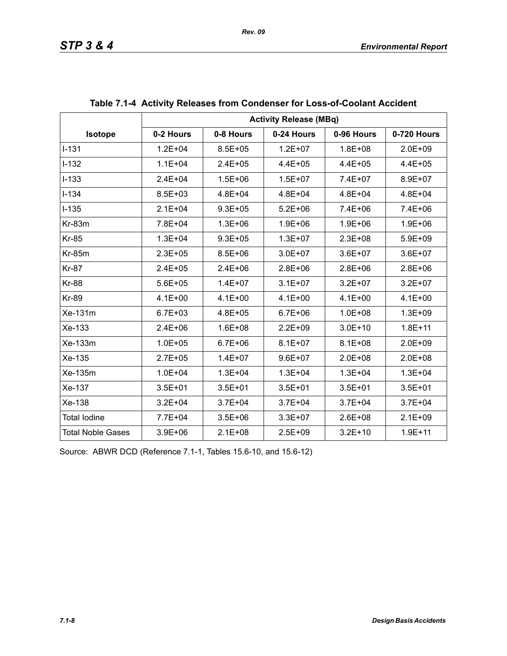|                          | <b>Activity Release (MBq)</b> |             |             |             |             |  |
|--------------------------|-------------------------------|-------------|-------------|-------------|-------------|--|
| Isotope                  | 0-2 Hours                     | 0-8 Hours   | 0-24 Hours  | 0-96 Hours  | 0-720 Hours |  |
| $I - 131$                | $1.2E + 04$                   | $8.5E + 05$ | $1.2E + 07$ | $1.8E + 08$ | $2.0E + 09$ |  |
| $I-132$                  | $1.1E + 04$                   | $2.4E + 05$ | $4.4E + 05$ | $4.4E + 05$ | $4.4E + 05$ |  |
| $I-133$                  | $2.4E + 04$                   | $1.5E + 06$ | $1.5E + 07$ | 7.4E+07     | 8.9E+07     |  |
| $I - 134$                | 8.5E+03                       | $4.8E + 04$ | $4.8E + 04$ | 4.8E+04     | $4.8E + 04$ |  |
| $I-135$                  | $2.1E + 04$                   | $9.3E + 05$ | $5.2E + 06$ | $7.4E + 06$ | $7.4E + 06$ |  |
| $Kr-83m$                 | 7.8E+04                       | $1.3E + 06$ | $1.9E + 06$ | $1.9E + 06$ | $1.9E + 06$ |  |
| <b>Kr-85</b>             | $1.3E + 04$                   | $9.3E + 05$ | $1.3E + 07$ | $2.3E + 08$ | $5.9E + 09$ |  |
| <b>Kr-85m</b>            | $2.3E + 05$                   | $8.5E + 06$ | $3.0E + 07$ | $3.6E + 07$ | $3.6E + 07$ |  |
| <b>Kr-87</b>             | $2.4E + 05$                   | $2.4E + 06$ | $2.8E + 06$ | $2.8E + 06$ | $2.8E + 06$ |  |
| <b>Kr-88</b>             | $5.6E + 05$                   | $1.4E + 07$ | $3.1E + 07$ | $3.2E + 07$ | $3.2E + 07$ |  |
| <b>Kr-89</b>             | $4.1E + 00$                   | $4.1E + 00$ | $4.1E + 00$ | $4.1E + 00$ | $4.1E + 00$ |  |
| Xe-131m                  | $6.7E + 03$                   | $4.8E + 05$ | $6.7E + 06$ | $1.0E + 08$ | $1.3E + 09$ |  |
| Xe-133                   | $2.4E + 06$                   | $1.6E + 08$ | $2.2E + 09$ | $3.0E + 10$ | $1.8E + 11$ |  |
| Xe-133m                  | $1.0E + 05$                   | $6.7E + 06$ | $8.1E + 07$ | $8.1E + 08$ | $2.0E + 09$ |  |
| Xe-135                   | $2.7E + 05$                   | $1.4E + 07$ | $9.6E + 07$ | $2.0E + 08$ | $2.0E + 08$ |  |
| Xe-135m                  | $1.0E + 04$                   | $1.3E + 04$ | $1.3E + 04$ | $1.3E + 04$ | $1.3E + 04$ |  |
| Xe-137                   | $3.5E + 01$                   | $3.5E + 01$ | $3.5E + 01$ | $3.5E + 01$ | $3.5E + 01$ |  |
| Xe-138                   | $3.2E + 04$                   | $3.7E + 04$ | $3.7E + 04$ | $3.7E + 04$ | $3.7E + 04$ |  |
| <b>Total lodine</b>      | 7.7E+04                       | $3.5E + 06$ | $3.3E + 07$ | $2.6E + 08$ | $2.1E + 09$ |  |
| <b>Total Noble Gases</b> | $3.9E + 06$                   | $2.1E + 08$ | $2.5E + 09$ | $3.2E + 10$ | $1.9E + 11$ |  |

| Table 7.1-4 Activity Releases from Condenser for Loss-of-Coolant Accident |  |  |
|---------------------------------------------------------------------------|--|--|
|                                                                           |  |  |

Source: ABWR DCD (Reference 7.1-1, Tables 15.6-10, and 15.6-12)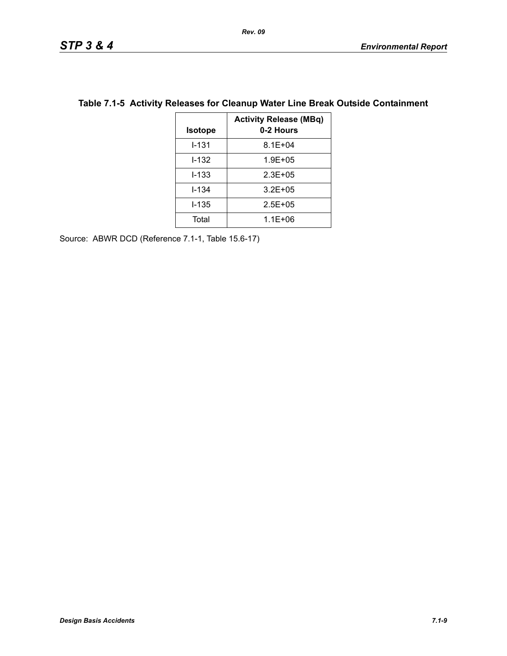| <b>Isotope</b> | <b>Activity Release (MBq)</b><br>0-2 Hours |
|----------------|--------------------------------------------|
| $1 - 131$      | $8.1E + 04$                                |
| I-132          | $1.9E + 05$                                |
| $1 - 133$      | $2.3E + 0.5$                               |
| $1 - 134$      | $3.2E + 05$                                |
| I-135          | $2.5E + 0.5$                               |
| Total          | $1.1E + 06$                                |

## **Table 7.1-5 Activity Releases for Cleanup Water Line Break Outside Containment**

Source: ABWR DCD (Reference 7.1-1, Table 15.6-17)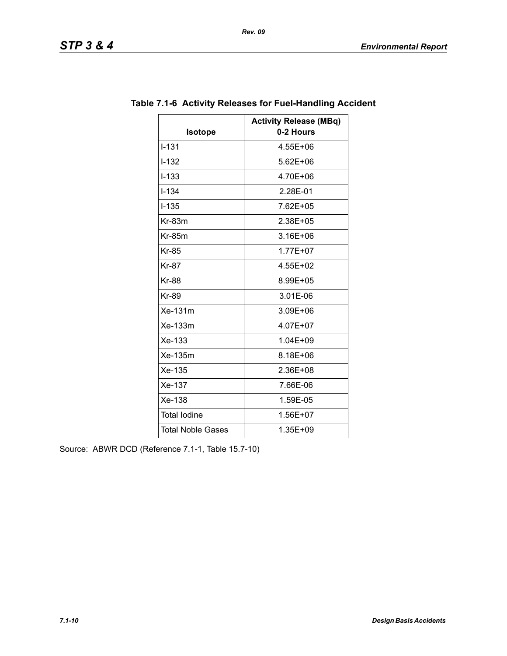| <b>Isotope</b>           | <b>Activity Release (MBq)</b><br>0-2 Hours |
|--------------------------|--------------------------------------------|
| $I - 131$                | 4.55E+06                                   |
| $I - 132$                | $5.62E + 06$                               |
| $I-133$                  | 4.70E+06                                   |
| $1 - 1.34$               | 2.28E-01                                   |
| $I - 135$                | 7.62E+05                                   |
| $Kr-83m$                 | 2.38E+05                                   |
| $Kr-85m$                 | 3.16E+06                                   |
| <b>Kr-85</b>             | 1.77E+07                                   |
| <b>Kr-87</b>             | 4.55E+02                                   |
| <b>Kr-88</b>             | 8.99E+05                                   |
| <b>Kr-89</b>             | 3.01E-06                                   |
| Xe-131m                  | 3.09E+06                                   |
| $Xe-133m$                | 4.07E+07                                   |
| Xe-133                   | 1.04E+09                                   |
| Xe-135m                  | 8.18E+06                                   |
| Xe-135                   | 2.36E+08                                   |
| Xe-137                   | 7.66E-06                                   |
| Xe-138                   | 1.59E-05                                   |
| <b>Total lodine</b>      | 1.56E+07                                   |
| <b>Total Noble Gases</b> | 1.35E+09                                   |

# **Table 7.1-6 Activity Releases for Fuel-Handling Accident**

Source: ABWR DCD (Reference 7.1-1, Table 15.7-10)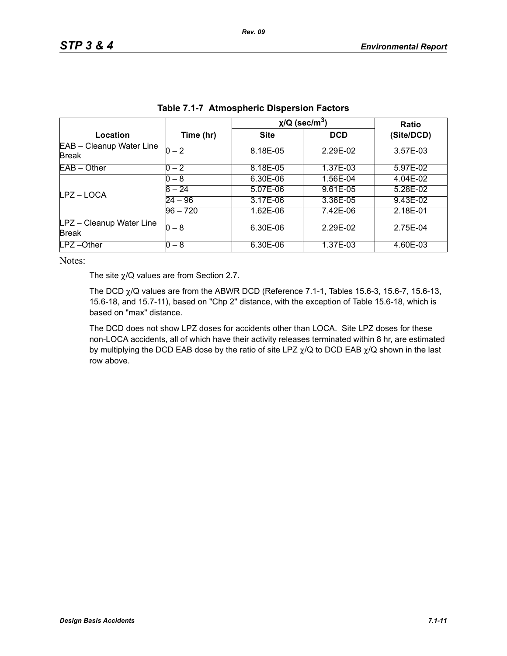|                                          |            | $\chi$ /Q (sec/m <sup>3</sup> ) | Ratio      |            |
|------------------------------------------|------------|---------------------------------|------------|------------|
| Location                                 | Time (hr)  | <b>Site</b>                     | <b>DCD</b> | (Site/DCD) |
| EAB - Cleanup Water Line<br><b>Break</b> | $0 - 2$    | 8.18E-05                        | 2.29E-02   | 3.57E-03   |
| $EAB - Other$                            | $0 - 2$    | 8.18E-05                        | 1.37E-03   | 5.97E-02   |
| LPZ-LOCA                                 | $0 - 8$    | 6.30E-06                        | 1.56E-04   | 4.04E-02   |
|                                          | $8 - 24$   | 5.07E-06                        | 9.61E-05   | 5.28E-02   |
|                                          | $24 - 96$  | 3.17E-06                        | 3.36E-05   | 9.43E-02   |
|                                          | $96 - 720$ | 1.62E-06                        | 7.42E-06   | 2.18E-01   |
| LPZ - Cleanup Water Line<br><b>Break</b> | $0 - 8$    | 6.30E-06                        | 2.29E-02   | 2.75E-04   |
| $LPZ - Other$                            | 0 – 8      | 6.30E-06                        | 1.37E-03   | 4.60E-03   |

| <b>Table 7.1-7 Atmospheric Dispersion Factors</b> |  |  |  |  |
|---------------------------------------------------|--|--|--|--|
|---------------------------------------------------|--|--|--|--|

The site  $\chi$ /Q values are from Section 2.7.

The DCD  $\chi$ /Q values are from the ABWR DCD (Reference 7.1-1, Tables 15.6-3, 15.6-7, 15.6-13, 15.6-18, and 15.7-11), based on "Chp 2" distance, with the exception of Table 15.6-18, which is based on "max" distance.

The DCD does not show LPZ doses for accidents other than LOCA. Site LPZ doses for these non-LOCA accidents, all of which have their activity releases terminated within 8 hr, are estimated by multiplying the DCD EAB dose by the ratio of site LPZ  $\chi$ /Q to DCD EAB  $\chi$ /Q shown in the last row above.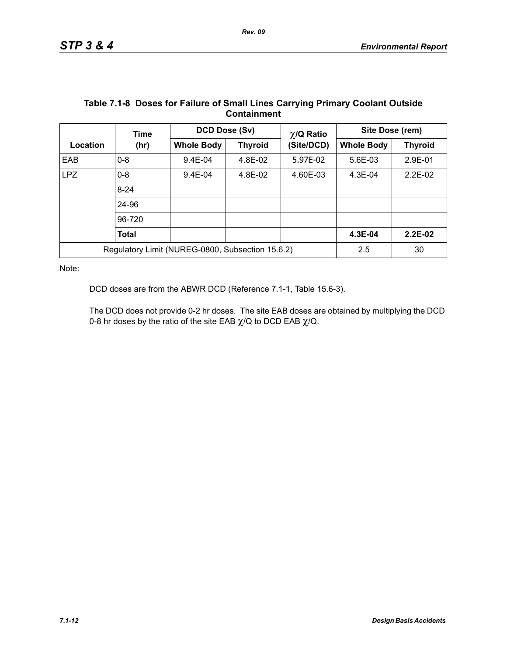|                                                  | Time         | DCD Dose (Sv)     |                | $\chi$ /Q Ratio | Site Dose (rem)   |                |
|--------------------------------------------------|--------------|-------------------|----------------|-----------------|-------------------|----------------|
| Location                                         | (hr)         | <b>Whole Body</b> | <b>Thyroid</b> | (Site/DCD)      | <b>Whole Body</b> | <b>Thyroid</b> |
| EAB                                              | $0 - 8$      | $9.4E - 04$       | 4.8E-02        | 5.97E-02        | 5.6E-03           | 2.9E-01        |
| <b>LPZ</b>                                       | $0 - 8$      | $9.4E - 04$       | 4.8E-02        | 4.60E-03        | $4.3E - 04$       | $2.2E-02$      |
|                                                  | $8 - 24$     |                   |                |                 |                   |                |
|                                                  | 24-96        |                   |                |                 |                   |                |
|                                                  | 96-720       |                   |                |                 |                   |                |
|                                                  | <b>Total</b> |                   |                |                 | 4.3E-04           | $2.2E-02$      |
| Regulatory Limit (NUREG-0800, Subsection 15.6.2) |              |                   | 2.5            | 30              |                   |                |

#### **Table 7.1-8 Doses for Failure of Small Lines Carrying Primary Coolant Outside Containment**

Note:

DCD doses are from the ABWR DCD (Reference 7.1-1, Table 15.6-3).

The DCD does not provide 0-2 hr doses. The site EAB doses are obtained by multiplying the DCD 0-8 hr doses by the ratio of the site EAB  $\chi$ /Q to DCD EAB  $\chi$ /Q.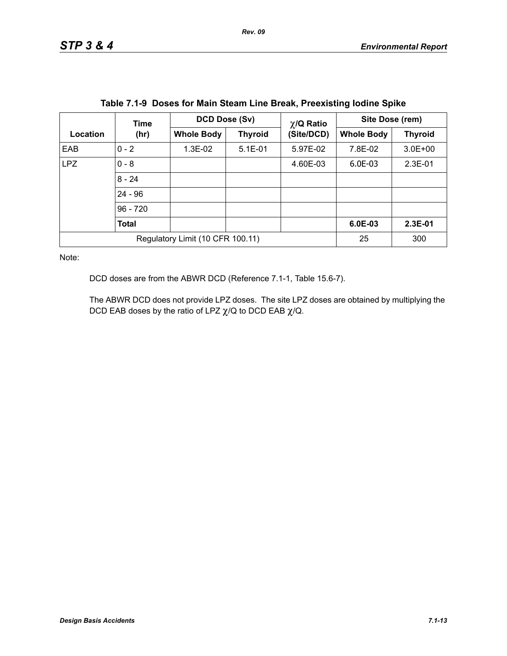|                                  | Time         | DCD Dose (Sv)     |                | $\chi$ /Q Ratio | Site Dose (rem)   |                |
|----------------------------------|--------------|-------------------|----------------|-----------------|-------------------|----------------|
| Location                         | (hr)         | <b>Whole Body</b> | <b>Thyroid</b> | (Site/DCD)      | <b>Whole Body</b> | <b>Thyroid</b> |
| EAB                              | $0 - 2$      | 1.3E-02           | $5.1E-01$      | 5.97E-02        | 7.8E-02           | $3.0E + 00$    |
| <b>LPZ</b>                       | $0 - 8$      |                   |                | 4.60E-03        | $6.0E-03$         | $2.3E-01$      |
|                                  | $8 - 24$     |                   |                |                 |                   |                |
|                                  | $24 - 96$    |                   |                |                 |                   |                |
|                                  | $96 - 720$   |                   |                |                 |                   |                |
|                                  | <b>Total</b> |                   |                |                 | $6.0E-03$         | $2.3E-01$      |
| Regulatory Limit (10 CFR 100.11) |              |                   | 25             | 300             |                   |                |

|  | Table 7.1-9 Doses for Main Steam Line Break, Preexisting lodine Spike |  |  |
|--|-----------------------------------------------------------------------|--|--|
|  |                                                                       |  |  |

DCD doses are from the ABWR DCD (Reference 7.1-1, Table 15.6-7).

The ABWR DCD does not provide LPZ doses. The site LPZ doses are obtained by multiplying the DCD EAB doses by the ratio of LPZ  $\chi$ /Q to DCD EAB  $\chi$ /Q.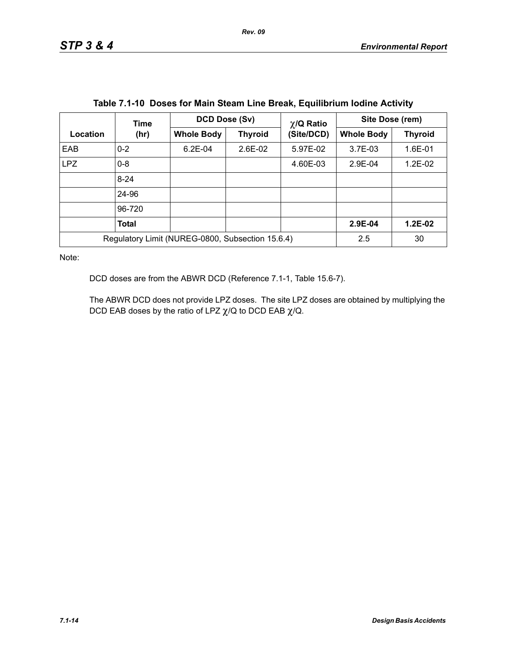|                                                  | Time         | DCD Dose (Sv)<br>$\chi$ /Q Ratio |                | Site Dose (rem) |                   |                |
|--------------------------------------------------|--------------|----------------------------------|----------------|-----------------|-------------------|----------------|
| Location                                         | (hr)         | <b>Whole Body</b>                | <b>Thyroid</b> | (Site/DCD)      | <b>Whole Body</b> | <b>Thyroid</b> |
| EAB                                              | $0 - 2$      | $6.2E-04$                        | 2.6E-02        | 5.97E-02        | $3.7E-03$         | 1.6E-01        |
| <b>LPZ</b>                                       | $0 - 8$      |                                  |                | 4.60E-03        | 2.9E-04           | 1.2E-02        |
|                                                  | $8 - 24$     |                                  |                |                 |                   |                |
|                                                  | 24-96        |                                  |                |                 |                   |                |
|                                                  | 96-720       |                                  |                |                 |                   |                |
|                                                  | <b>Total</b> |                                  |                |                 | 2.9E-04           | $1.2E-02$      |
| Regulatory Limit (NUREG-0800, Subsection 15.6.4) |              |                                  |                |                 | 2.5               | 30             |

DCD doses are from the ABWR DCD (Reference 7.1-1, Table 15.6-7).

The ABWR DCD does not provide LPZ doses. The site LPZ doses are obtained by multiplying the DCD EAB doses by the ratio of LPZ  $\chi$ /Q to DCD EAB  $\chi$ /Q.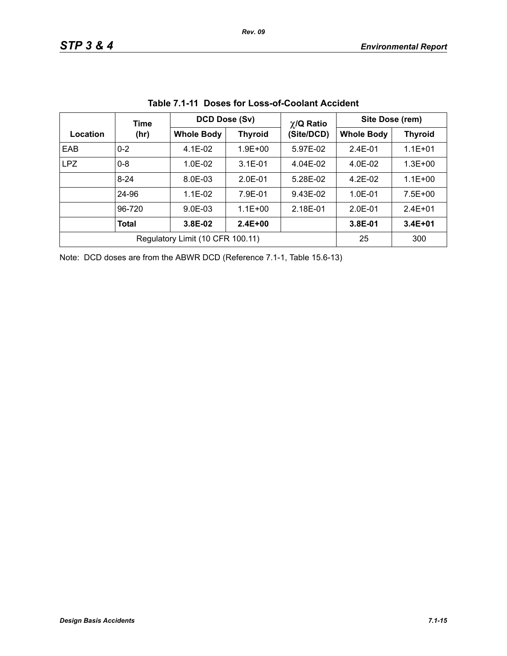|            | Time                             | <b>DCD Dose (Sv)</b> |                | $\chi$ /Q Ratio | Site Dose (rem)   |                |  |
|------------|----------------------------------|----------------------|----------------|-----------------|-------------------|----------------|--|
| Location   | (hr)                             | <b>Whole Body</b>    | <b>Thyroid</b> | (Site/DCD)      | <b>Whole Body</b> | <b>Thyroid</b> |  |
| EAB        | $0 - 2$                          | $4.1E-02$            | $1.9E + 00$    | 5.97E-02        | $2.4E - 01$       | $1.1E + 01$    |  |
| <b>LPZ</b> | $0 - 8$                          | $1.0E-02$            | $3.1E - 01$    | 4.04E-02        | 4.0E-02           | $1.3E + 00$    |  |
|            | $8 - 24$                         | 8.0E-03              | $2.0E-01$      | 5.28E-02        | $4.2E-02$         | $1.1E + 00$    |  |
|            | 24-96                            | $1.1E-02$            | 7.9E-01        | 9.43E-02        | $1.0E - 01$       | $7.5E + 00$    |  |
|            | 96-720                           | $9.0E-03$            | $1.1E + 00$    | 2.18E-01        | $2.0E-01$         | $2.4E + 01$    |  |
|            | Total                            | 3.8E-02              | $2.4E + 00$    |                 | 3.8E-01           | $3.4E + 01$    |  |
|            | Regulatory Limit (10 CFR 100.11) | 25                   | 300            |                 |                   |                |  |

|  |  | Table 7.1-11 Doses for Loss-of-Coolant Accident |  |
|--|--|-------------------------------------------------|--|
|--|--|-------------------------------------------------|--|

Note: DCD doses are from the ABWR DCD (Reference 7.1-1, Table 15.6-13)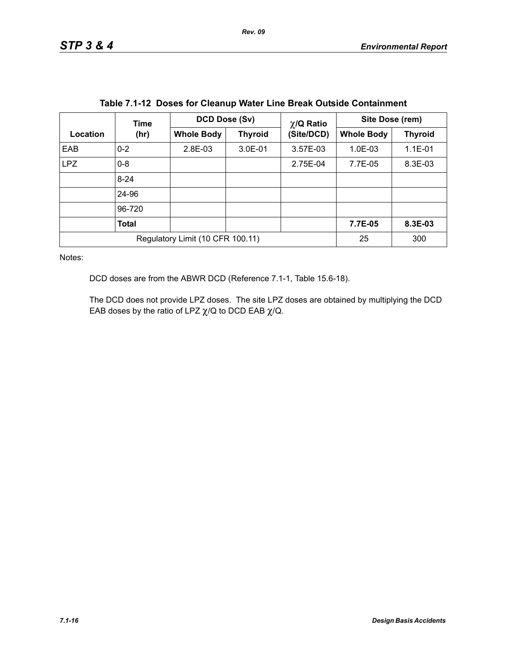|            | Time                             | DCD Dose (Sv)<br>$\chi$ /Q Ratio |                | Site Dose (rem) |                   |                |
|------------|----------------------------------|----------------------------------|----------------|-----------------|-------------------|----------------|
| Location   | (hr)                             | <b>Whole Body</b>                | <b>Thyroid</b> | (Site/DCD)      | <b>Whole Body</b> | <b>Thyroid</b> |
| EAB        | $0 - 2$                          | 2.8E-03                          | 3.0E-01        | 3.57E-03        | $1.0E-03$         | 1.1E-01        |
| <b>LPZ</b> | $0 - 8$                          |                                  |                | 2.75E-04        | 7.7E-05           | 8.3E-03        |
|            | $8 - 24$                         |                                  |                |                 |                   |                |
|            | 24-96                            |                                  |                |                 |                   |                |
|            | 96-720                           |                                  |                |                 |                   |                |
|            | <b>Total</b>                     |                                  |                |                 | 7.7E-05           | 8.3E-03        |
|            | Regulatory Limit (10 CFR 100.11) | 25                               | 300            |                 |                   |                |

|  |  |  | Table 7.1-12 Doses for Cleanup Water Line Break Outside Containment |
|--|--|--|---------------------------------------------------------------------|
|--|--|--|---------------------------------------------------------------------|

DCD doses are from the ABWR DCD (Reference 7.1-1, Table 15.6-18).

The DCD does not provide LPZ doses. The site LPZ doses are obtained by multiplying the DCD EAB doses by the ratio of LPZ  $\chi$ /Q to DCD EAB  $\chi$ /Q.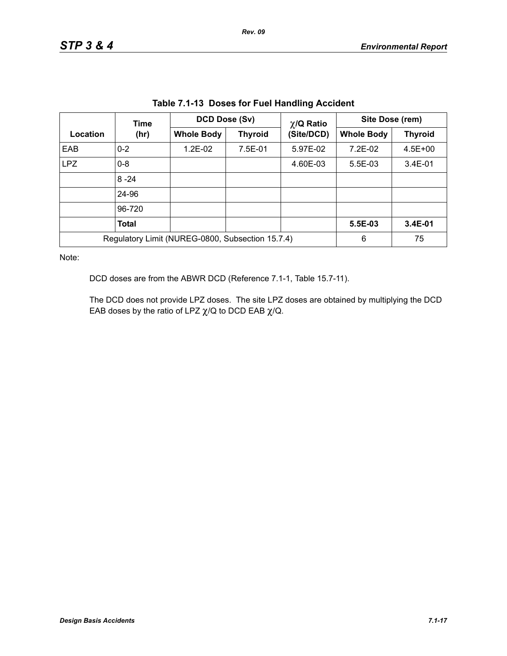| Table 7.1-13 Doses for Fuel Handling Accident    |                                                           |                      |                |                 |                 |             |
|--------------------------------------------------|-----------------------------------------------------------|----------------------|----------------|-----------------|-----------------|-------------|
|                                                  | Time                                                      | <b>DCD Dose (Sv)</b> |                | $\chi$ /Q Ratio | Site Dose (rem) |             |
| Location                                         | <b>Whole Body</b><br>(Site/DCD)<br><b>Thyroid</b><br>(hr) | <b>Whole Body</b>    | <b>Thyroid</b> |                 |                 |             |
| EAB                                              | $0 - 2$                                                   | 1.2E-02              | 7.5E-01        | 5.97E-02        | 7.2E-02         | $4.5E + 00$ |
| <b>LPZ</b>                                       | $0 - 8$                                                   |                      |                | 4.60E-03        | 5.5E-03         | $3.4E - 01$ |
|                                                  | $8 - 24$                                                  |                      |                |                 |                 |             |
|                                                  | 24-96                                                     |                      |                |                 |                 |             |
|                                                  | 96-720                                                    |                      |                |                 |                 |             |
|                                                  | <b>Total</b>                                              |                      |                |                 | 5.5E-03         | 3.4E-01     |
| Regulatory Limit (NUREG-0800, Subsection 15.7.4) |                                                           |                      |                |                 | 6               | 75          |

**Table 7.1-13 Doses for Fuel Handling Accident**

DCD doses are from the ABWR DCD (Reference 7.1-1, Table 15.7-11).

The DCD does not provide LPZ doses. The site LPZ doses are obtained by multiplying the DCD EAB doses by the ratio of LPZ  $\chi$ /Q to DCD EAB  $\chi$ /Q.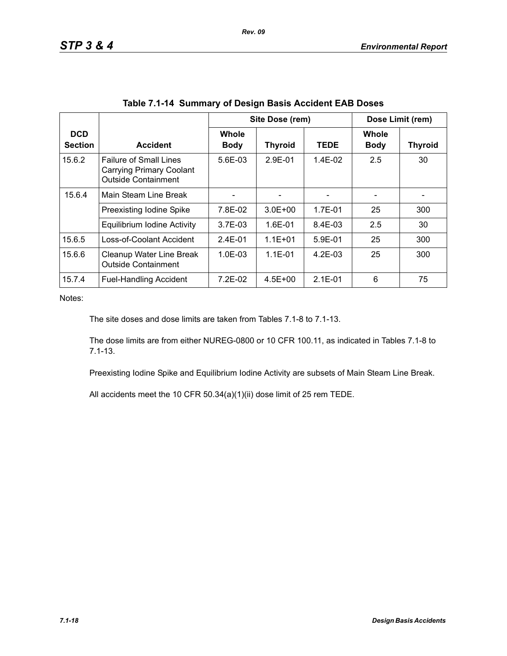|                              |                                                                                                |                             | Site Dose (rem) |             |                             | Dose Limit (rem) |
|------------------------------|------------------------------------------------------------------------------------------------|-----------------------------|-----------------|-------------|-----------------------------|------------------|
| <b>DCD</b><br><b>Section</b> | <b>Accident</b>                                                                                | <b>Whole</b><br><b>Body</b> | <b>Thyroid</b>  | <b>TEDE</b> | <b>Whole</b><br><b>Body</b> | <b>Thyroid</b>   |
| 15.6.2                       | <b>Failure of Small Lines</b><br><b>Carrying Primary Coolant</b><br><b>Outside Containment</b> | $5.6E - 0.3$                | $2.9F - 01$     | $1.4F-02$   | 2.5                         | 30               |
| 15.6.4                       | Main Steam Line Break                                                                          |                             |                 |             |                             |                  |
|                              | Preexisting Iodine Spike                                                                       | 7.8E-02                     | $3.0E + 00$     | 1.7E-01     | 25                          | 300              |
|                              | Equilibrium Iodine Activity                                                                    | $3.7E-03$                   | $1.6E - 01$     | $8.4E-03$   | 2.5                         | 30               |
| 15.6.5                       | Loss-of-Coolant Accident                                                                       | $2.4E - 01$                 | $1.1E + 01$     | $5.9E-01$   | 25                          | 300              |
| 15.6.6                       | Cleanup Water Line Break<br><b>Outside Containment</b>                                         | $1.0E - 0.3$                | $1.1E - 01$     | $4.2F-0.3$  | 25                          | 300              |
| 15.7.4                       | <b>Fuel-Handling Accident</b>                                                                  | $7.2E-02$                   | $4.5E + 00$     | $2.1E - 01$ | 6                           | 75               |

The site doses and dose limits are taken from Tables 7.1-8 to 7.1-13.

The dose limits are from either NUREG-0800 or 10 CFR 100.11, as indicated in Tables 7.1-8 to 7.1-13.

Preexisting Iodine Spike and Equilibrium Iodine Activity are subsets of Main Steam Line Break.

All accidents meet the 10 CFR 50.34(a)(1)(ii) dose limit of 25 rem TEDE.